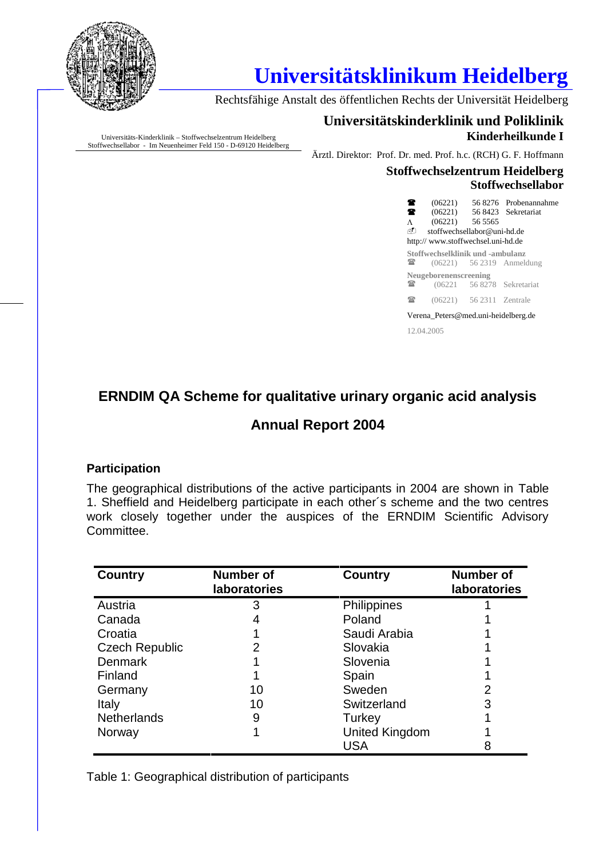

# **Universitätsklinikum Heidelberg**

Rechtsfähige Anstalt des öffentlichen Rechts der Universität Heidelberg

Universitäts-Kinderklinik – Stoffwechselzentrum Heidelberg Stoffwechsellabor - Im Neuenheimer Feld 150 - D-69120 Heidelberg

## **Universitätskinderklinik und Poliklinik Kinderheilkunde I**

Ärztl. Direktor: Prof. Dr. med. Prof. h.c. (RCH) G. F. Hoffmann

#### **Stoffwechselzentrum Heidelberg Stoffwechsellabor**

| 奮。<br>$\bullet$ $\bullet$<br>$\Lambda$ | $(06221)$ 56 5565<br>stoffwechsellabor@uni-hd.de<br>http://www.stoffwechsel.uni-hd.de |                          | $(06221)$ 56 8276 Probenannahme<br>(06221) 56 8423 Sekretariat |  |
|----------------------------------------|---------------------------------------------------------------------------------------|--------------------------|----------------------------------------------------------------|--|
| $\sim$                                 | Stoffwechselklinik und -ambulanz                                                      |                          | $(06221)$ 56 2319 Anmeldung                                    |  |
| $\sim$                                 | Neugeborenenscreening                                                                 |                          | (06221 56 8278 Sekretariat)                                    |  |
| $\sim$ $\sim$                          |                                                                                       | (06221) 56 2311 Zentrale |                                                                |  |
| Verena Peters@med.uni-heidelberg.de    |                                                                                       |                          |                                                                |  |
| 12.04.2005                             |                                                                                       |                          |                                                                |  |

# **ERNDIM QA Scheme for qualitative urinary organic acid analysis**

## **Annual Report 2004**

## **Participation**

The geographical distributions of the active participants in 2004 are shown in Table 1. Sheffield and Heidelberg participate in each other´s scheme and the two centres work closely together under the auspices of the ERNDIM Scientific Advisory Committee.

| <b>Country</b>        | <b>Number of</b><br><b>laboratories</b> | <b>Country</b>        | <b>Number of</b><br>laboratories |
|-----------------------|-----------------------------------------|-----------------------|----------------------------------|
| Austria               | 3                                       | Philippines           |                                  |
| Canada                |                                         | Poland                |                                  |
| Croatia               |                                         | Saudi Arabia          |                                  |
| <b>Czech Republic</b> |                                         | Slovakia              |                                  |
| <b>Denmark</b>        |                                         | Slovenia              |                                  |
| Finland               |                                         | Spain                 |                                  |
| Germany               | 10                                      | Sweden                |                                  |
| Italy                 | 10                                      | Switzerland           | 3                                |
| <b>Netherlands</b>    | 9                                       | Turkey                |                                  |
| Norway                |                                         | <b>United Kingdom</b> |                                  |
|                       |                                         | USA                   |                                  |

Table 1: Geographical distribution of participants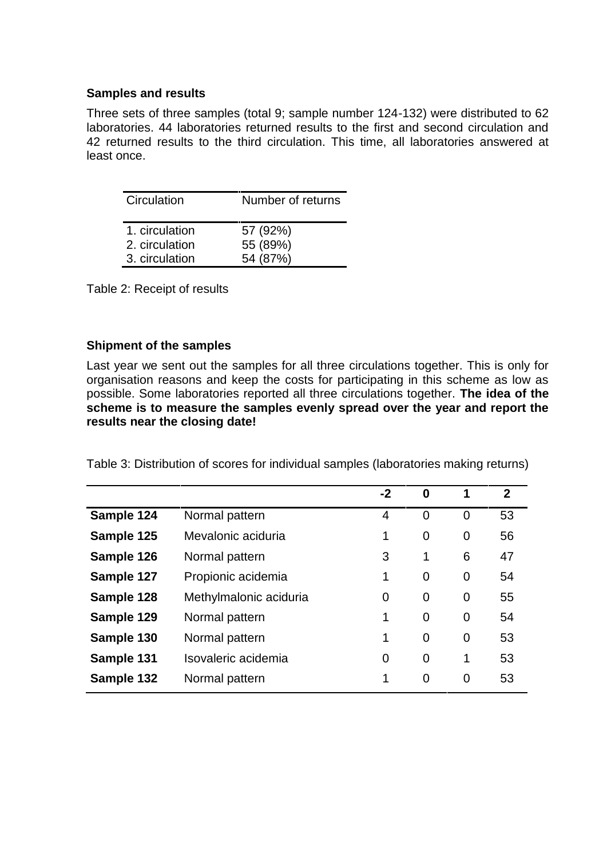#### **Samples and results**

Three sets of three samples (total 9; sample number 124-132) were distributed to 62 laboratories. 44 laboratories returned results to the first and second circulation and 42 returned results to the third circulation. This time, all laboratories answered at least once.

| Circulation                      | Number of returns    |
|----------------------------------|----------------------|
| 1. circulation<br>2. circulation | 57 (92%)<br>55 (89%) |
| 3. circulation                   | 54 (87%)             |

Table 2: Receipt of results

#### **Shipment of the samples**

Last year we sent out the samples for all three circulations together. This is only for organisation reasons and keep the costs for participating in this scheme as low as possible. Some laboratories reported all three circulations together. **The idea of the scheme is to measure the samples evenly spread over the year and report the results near the closing date!**

| Table 3: Distribution of scores for individual samples (laboratories making returns) |  |
|--------------------------------------------------------------------------------------|--|
|--------------------------------------------------------------------------------------|--|

|            |                        | $-2$           | 0              | 1              | $\mathbf{2}$ |
|------------|------------------------|----------------|----------------|----------------|--------------|
| Sample 124 | Normal pattern         | 4              | $\overline{0}$ | $\overline{0}$ | 53           |
| Sample 125 | Mevalonic aciduria     |                | 0              | 0              | 56           |
| Sample 126 | Normal pattern         | 3              | 1              | 6              | 47           |
| Sample 127 | Propionic acidemia     | 1              | $\mathbf 0$    | $\mathbf 0$    | 54           |
| Sample 128 | Methylmalonic aciduria | $\overline{0}$ | 0              | $\mathbf 0$    | 55           |
| Sample 129 | Normal pattern         | 1              | $\overline{0}$ | $\mathbf 0$    | 54           |
| Sample 130 | Normal pattern         | 1              | $\overline{0}$ | $\mathbf 0$    | 53           |
| Sample 131 | Isovaleric acidemia    | 0              | $\mathbf 0$    | 1              | 53           |
| Sample 132 | Normal pattern         | 1              | $\overline{0}$ | 0              | 53           |
|            |                        |                |                |                |              |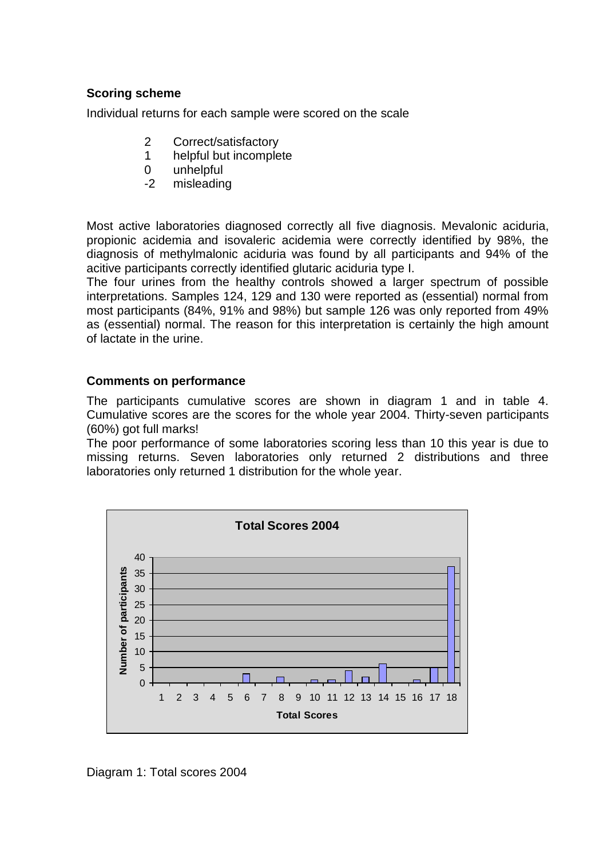### **Scoring scheme**

Individual returns for each sample were scored on the scale

- 2 Correct/satisfactory
- 1 helpful but incomplete
- 0 unhelpful
- -2 misleading

Most active laboratories diagnosed correctly all five diagnosis. Mevalonic aciduria, propionic acidemia and isovaleric acidemia were correctly identified by 98%, the diagnosis of methylmalonic aciduria was found by all participants and 94% of the acitive participants correctly identified glutaric aciduria type I.

The four urines from the healthy controls showed a larger spectrum of possible interpretations. Samples 124, 129 and 130 were reported as (essential) normal from most participants (84%, 91% and 98%) but sample 126 was only reported from 49% as (essential) normal. The reason for this interpretation is certainly the high amount of lactate in the urine.

#### **Comments on performance**

The participants cumulative scores are shown in diagram 1 and in table 4. Cumulative scores are the scores for the whole year 2004. Thirty-seven participants (60%) got full marks!

The poor performance of some laboratories scoring less than 10 this year is due to missing returns. Seven laboratories only returned 2 distributions and three laboratories only returned 1 distribution for the whole year.



Diagram 1: Total scores 2004